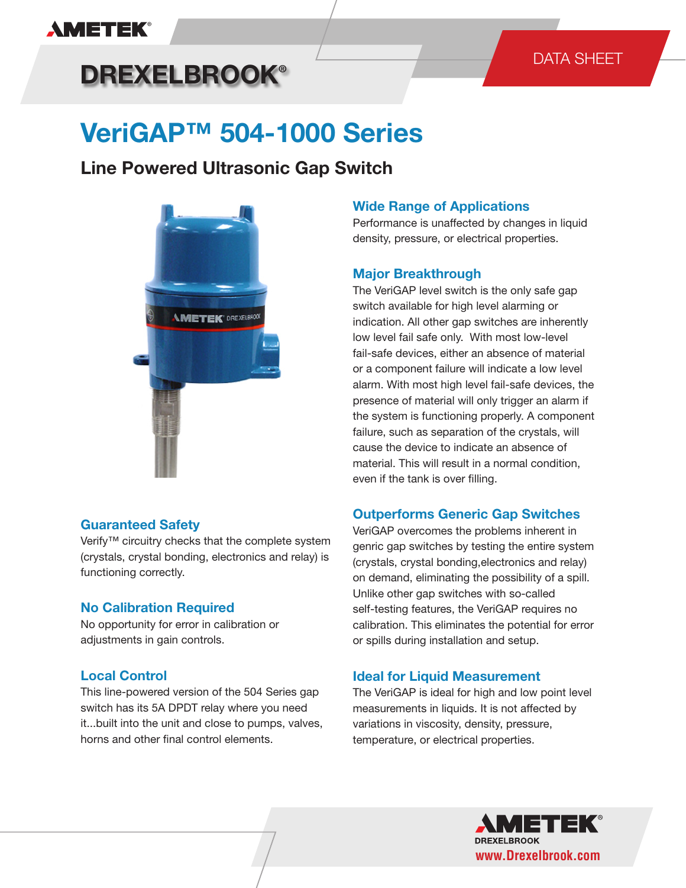## **AMETEK®**

# **DREXELBROOK®**

### DATA SHEET

# **VeriGAP™ 504-1000 Series**

### **Line Powered Ultrasonic Gap Switch**



#### **Guaranteed Safety**

Verify™ circuitry checks that the complete system (crystals, crystal bonding, electronics and relay) is functioning correctly.

#### **No Calibration Required**

No opportunity for error in calibration or adjustments in gain controls.

#### **Local Control**

This line-powered version of the 504 Series gap switch has its 5A DPDT relay where you need it...built into the unit and close to pumps, valves, horns and other final control elements.

#### **Wide Range of Applications**

Performance is unaffected by changes in liquid density, pressure, or electrical properties.

#### **Major Breakthrough**

The VeriGAP level switch is the only safe gap switch available for high level alarming or indication. All other gap switches are inherently low level fail safe only. With most low-level fail-safe devices, either an absence of material or a component failure will indicate a low level alarm. With most high level fail-safe devices, the presence of material will only trigger an alarm if the system is functioning properly. A component failure, such as separation of the crystals, will cause the device to indicate an absence of material. This will result in a normal condition, even if the tank is over filling.

#### **Outperforms Generic Gap Switches**

VeriGAP overcomes the problems inherent in genric gap switches by testing the entire system (crystals, crystal bonding,electronics and relay) on demand, eliminating the possibility of a spill. Unlike other gap switches with so-called self-testing features, the VeriGAP requires no calibration. This eliminates the potential for error or spills during installation and setup.

#### **Ideal for Liquid Measurement**

The VeriGAP is ideal for high and low point level measurements in liquids. It is not affected by variations in viscosity, density, pressure, temperature, or electrical properties.